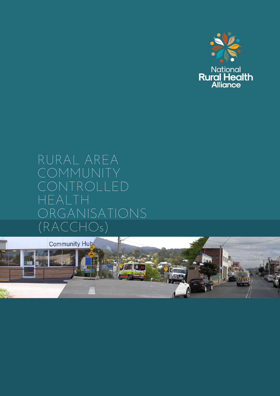

# RURAL AREA COMMUNIT TROLLED HEALTH RGANISATIONS (RACCHOs)

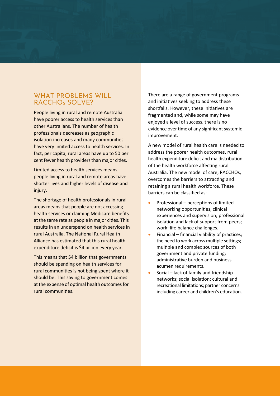## WHAT PROBLEMS WILL RACCHOs SOLVE?

People living in rural and remote Australia have poorer access to health services than other Australians. The number of health professionals decreases as geographic isolation increases and many communities have very limited access to health services. In fact, per capita, rural areas have up to 50 per cent fewer health providers than major cities.

Limited access to health services means people living in rural and remote areas have shorter lives and higher levels of disease and injury.

The shortage of health professionals in rural areas means that people are not accessing health services or claiming Medicare benefits at the same rate as people in major cities. This results in an underspend on health services in rural Australia. The National Rural Health Alliance has estimated that this rural health expenditure deficit is \$4 billion every year.

This means that \$4 billion that governments should be spending on health services for rural communities is not being spent where it should be. This saving to government comes at the expense of optimal health outcomes for rural communities.

There are a range of government programs and initiatives seeking to address these shortfalls. However, these initiatives are fragmented and, while some may have enjoyed a level of success, there is no evidence over time of any significant systemic improvement.

A new model of rural health care is needed to address the poorer health outcomes, rural health expenditure deficit and maldistribution of the health workforce affecting rural Australia. The new model of care, RACCHOs, overcomes the barriers to attracting and retaining a rural health workforce. These barriers can be classified as:

- Professional perceptions of limited networking opportuni�es, clinical experiences and supervision; professional isolation and lack of support from peers; work–life balance challenges.
- $\bullet$  Financial financial viability of practices; the need to work across multiple settings; multiple and complex sources of both government and private funding; administrative burden and business acumen requirements.
- Social lack of family and friendship networks; social isolation; cultural and recreational limitations; partner concerns including career and children's education.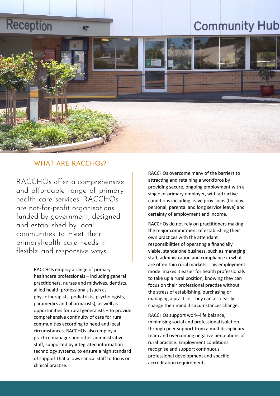# **Reception**

# **Community Hub**



# WHAT ARE RACCHOs?

œ

RACCHOs offer a comprehensive and affordable range of primary health care services. RACCHOs are not-for-profit organisations funded by government, designed and established by local communities to meet their primaryhealth care needs in flexible and responsive ways.

> RACCHOs employ a range of primary healthcare professionals – including general practitioners, nurses and midwives, dentists, allied health professionals (such as physiotherapists, podiatrists, psychologists, paramedics and pharmacists), as well as opportuni�es for rural generalists – to provide comprehensive continuity of care for rural communi�es according to need and local circumstances. RACCHOs also employ a practice manager and other administrative staff, supported by integrated information technology systems, to ensure a high standard of support that allows clinical staff to focus on clinical practise.

RACCHOs overcome many of the barriers to attracting and retaining a workforce by providing secure, ongoing employment with a single or primary employer, with attractive conditions including leave provisions (holiday, personal, parental and long service leave) and certainty of employment and income.

RACCHOs do not rely on practitioners making the major commitment of establishing their own practices with the attendant responsibilities of operating a financially viable, standalone business, such as managing staff, administration and compliance in what are often thin rural markets. This employment model makes it easier for health professionals to take up a rural position, knowing they can focus on their professional practise without the stress of establishing, purchasing or managing a practice. They can also easily change their mind if circumstances change.

RACCHOs support work–life balance, minimising social and professional isolation through peer support from a multidisciplinary team and overcoming negative perceptions of rural practice. Employment conditions recognise and support continuous professional development and specific accreditation requirements.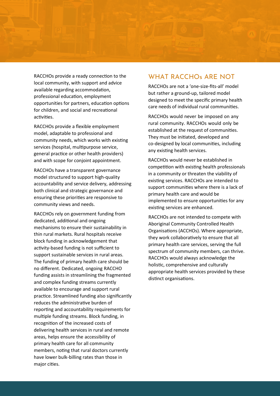

RACCHOs provide a ready connection to the local community, with support and advice available regarding accommodation, professional education, employment opportunities for partners, education options for children, and social and recreational activities.

RACCHOs provide a flexible employment model, adaptable to professional and community needs, which works with existing services (hospital, multipurpose service, general practice or other health providers) and with scope for conjoint appointment.

RACCHOs have a transparent governance model structured to support high-quality accountability and service delivery, addressing both clinical and strategic governance and ensuring these priorities are responsive to community views and needs.

RACCHOs rely on government funding from dedicated, additional and ongoing mechanisms to ensure their sustainability in thin rural markets. Rural hospitals receive block funding in acknowledgement that activity-based funding is not sufficient to support sustainable services in rural areas. The funding of primary health care should be no different. Dedicated, ongoing RACCHO funding assists in streamlining the fragmented and complex funding streams currently available to encourage and support rural prac�ce. Streamlined funding also significantly reduces the administrative burden of reporting and accountability requirements for multiple funding streams. Block funding, in recognition of the increased costs of delivering health services in rural and remote areas, helps ensure the accessibility of primary health care for all community members, noting that rural doctors currently have lower bulk-billing rates than those in major cities.

# WHAT RACCHOs ARE NOT

RACCHOs are not a 'one-size-fits-all' model but rather a ground-up, tailored model designed to meet the specific primary health care needs of individual rural communities.

RACCHOs would never be imposed on any rural community. RACCHOs would only be established at the request of communities. They must be initiated, developed and co-designed by local communi�es, including any existing health services.

RACCHOs would never be established in competition with existing health professionals in a community or threaten the viability of existing services. RACCHOs are intended to support communities where there is a lack of primary health care and would be implemented to ensure opportunities for any existing services are enhanced.

RACCHOs are not intended to compete with Aboriginal Community Controlled Health Organisations (ACCHOs). Where appropriate, they work collaboratively to ensure that all primary health care services, serving the full spectrum of community members, can thrive. RACCHOs would always acknowledge the holistic, comprehensive and culturally appropriate health services provided by these distinct organisations.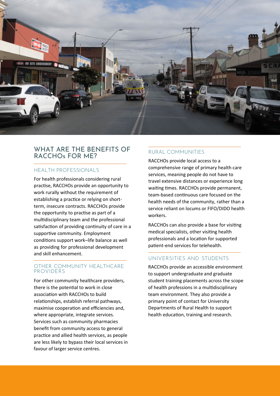

# WHAT ARE THE BENEFITS OF RACCHOs FOR ME?

### HEALTH PROFESSIONALS

For health professionals considering rural practise, RACCHOs provide an opportunity to work rurally without the requirement of establishing a practice or relying on shortterm, insecure contracts. RACCHOs provide the opportunity to practise as part of a multidisciplinary team and the professional satisfaction of providing continuity of care in a supportive community. Employment conditions support work–life balance as well as providing for professional development and skill enhancement.

### OTHER COMMUNITY HEALTHCARE PROVIDERS

For other community healthcare providers, there is the potential to work in close association with RACCHOs to build relationships, establish referral pathways, maximise cooperation and efficiencies and, where appropriate, integrate services. Services such as community pharmacies benefit from community access to general prac�ce and allied health services, as people are less likely to bypass their local services in favour of larger service centres.

# RURAL COMMUNITIES

RACCHOs provide local access to a comprehensive range of primary health care services, meaning people do not have to travel extensive distances or experience long waiting times. RACCHOs provide permanent, team-based continuous care focused on the health needs of the community, rather than a service reliant on locums or FIFO/DIDO health workers.

RACCHOs can also provide a base for visiting medical specialists, other visiting health professionals and a location for supported patient-end services for telehealth.

### UNIVERSITIES AND STUDENTS

RACCHOs provide an accessible environment to support undergraduate and graduate student training placements across the scope of health professions in a multidisciplinary team environment. They also provide a primary point of contact for University Departments of Rural Health to support health education, training and research.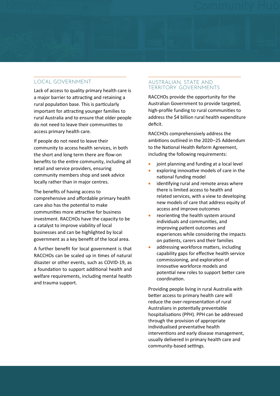#### LOCAL GOVERNMENT

Lack of access to quality primary health care is a major barrier to attracting and retaining a rural population base. This is particularly important for attracting younger families to rural Australia and to ensure that older people do not need to leave their communi�es to access primary health care.

If people do not need to leave their community to access health services, in both the short and long term there are flow-on benefits to the entire community, including all retail and service providers, ensuring community members shop and seek advice locally rather than in major centres.

The benefits of having access to comprehensive and affordable primary health care also has the potential to make communities more attractive for business investment. RACCHOs have the capacity to be a catalyst to improve viability of local businesses and can be highlighted by local government as a key benefit of the local area.

A further benefit for local government is that RACCHOs can be scaled up in times of natural disaster or other events, such as COVID-19, as a foundation to support additional health and welfare requirements, including mental health and trauma support.

#### AUSTRALIAN, STATE AND TERRITORY GOVERNMENTS

RACCHOs provide the opportunity for the Australian Government to provide targeted, high-profile funding to rural communities to address the \$4 billion rural health expenditure deficit.

RACCHOs comprehensively address the ambitions outlined in the 2020–25 Addendum to the National Health Reform Agreement, including the following requirements:

- joint planning and funding at a local level
- exploring innovative models of care in the national funding model
- identifying rural and remote areas where there is limited access to health and related services, with a view to developing new models of care that address equity of access and improve outcomes
- reorienting the health system around individuals and communi�es, and improving patient outcomes and experiences while considering the impacts on patients, carers and their families
- addressing workforce matters, including capability gaps for effective health service commissioning, and exploration of innovative workforce models and potential new roles to support better care coordination.

Providing people living in rural Australia with better access to primary health care will reduce the over-representation of rural Australians in potentially preventable hospitalisations (PPH). PPH can be addressed through the provision of appropriate individualised preventative health interventions and early disease management, usually delivered in primary health care and community-based settings.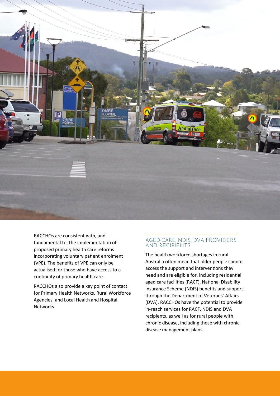

RACCHOs are consistent with, and fundamental to, the implementation of proposed primary health care reforms incorporating voluntary patient enrolment (VPE). The benefits of VPE can only be actualised for those who have access to a continuity of primary health care.

RACCHOs also provide a key point of contact for Primary Health Networks, Rural Workforce Agencies, and Local Health and Hospital Networks.

#### AGED-CARE, NDIS, DVA PROVIDERS AND RECIPIENTS

The health workforce shortages in rural Australia often mean that older people cannot access the support and interventions they need and are eligible for, including residential aged care facilities (RACF), National Disability Insurance Scheme (NDIS) benefits and support through the Department of Veterans' Affairs (DVA). RACCHOs have the potential to provide in-reach services for RACF, NDIS and DVA recipients, as well as for rural people with chronic disease, including those with chronic disease management plans.